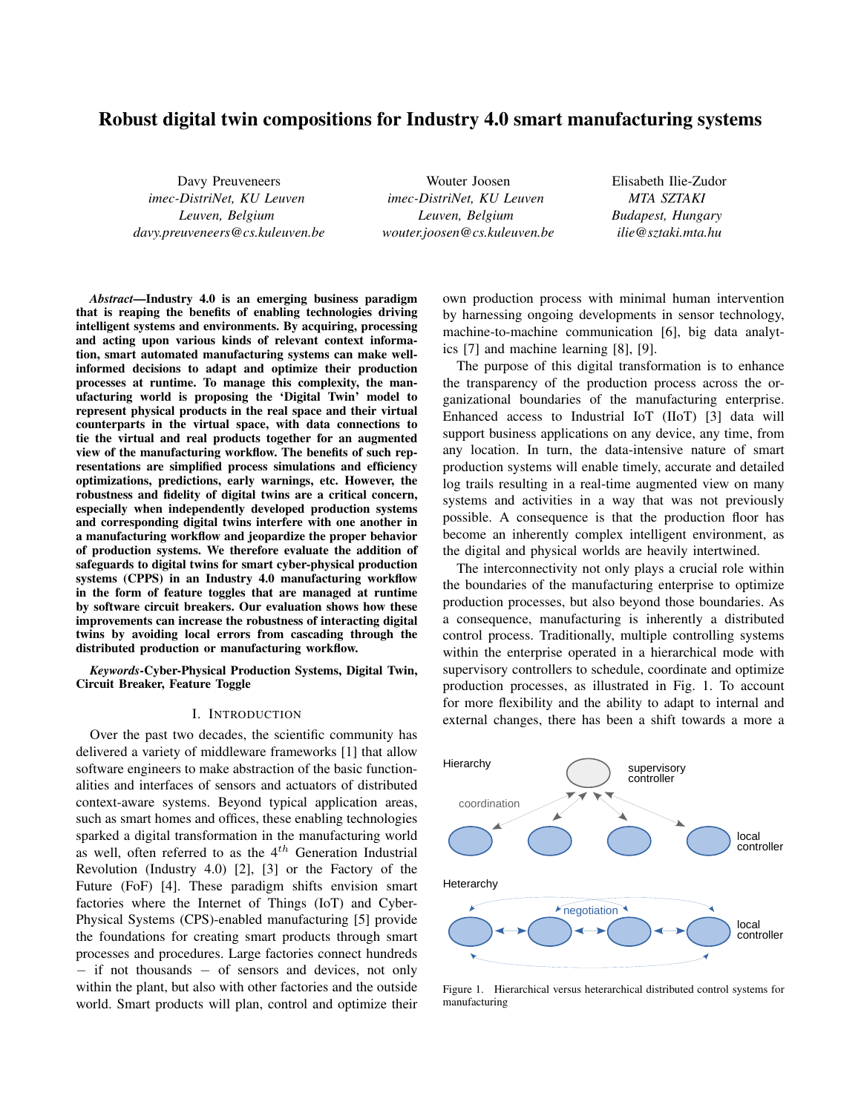# Robust digital twin compositions for Industry 4.0 smart manufacturing systems

Davy Preuveneers *imec-DistriNet, KU Leuven Leuven, Belgium davy.preuveneers@cs.kuleuven.be*

Wouter Joosen *imec-DistriNet, KU Leuven Leuven, Belgium wouter.joosen@cs.kuleuven.be*

Elisabeth Ilie-Zudor *MTA SZTAKI Budapest, Hungary ilie@sztaki.mta.hu*

*Abstract*—Industry 4.0 is an emerging business paradigm that is reaping the benefits of enabling technologies driving intelligent systems and environments. By acquiring, processing and acting upon various kinds of relevant context information, smart automated manufacturing systems can make wellinformed decisions to adapt and optimize their production processes at runtime. To manage this complexity, the manufacturing world is proposing the 'Digital Twin' model to represent physical products in the real space and their virtual counterparts in the virtual space, with data connections to tie the virtual and real products together for an augmented view of the manufacturing workflow. The benefits of such representations are simplified process simulations and efficiency optimizations, predictions, early warnings, etc. However, the robustness and fidelity of digital twins are a critical concern, especially when independently developed production systems and corresponding digital twins interfere with one another in a manufacturing workflow and jeopardize the proper behavior of production systems. We therefore evaluate the addition of safeguards to digital twins for smart cyber-physical production systems (CPPS) in an Industry 4.0 manufacturing workflow in the form of feature toggles that are managed at runtime by software circuit breakers. Our evaluation shows how these improvements can increase the robustness of interacting digital twins by avoiding local errors from cascading through the distributed production or manufacturing workflow.

*Keywords*-Cyber-Physical Production Systems, Digital Twin, Circuit Breaker, Feature Toggle

#### I. INTRODUCTION

Over the past two decades, the scientific community has delivered a variety of middleware frameworks [1] that allow software engineers to make abstraction of the basic functionalities and interfaces of sensors and actuators of distributed context-aware systems. Beyond typical application areas, such as smart homes and offices, these enabling technologies sparked a digital transformation in the manufacturing world as well, often referred to as the  $4^{th}$  Generation Industrial Revolution (Industry 4.0) [2], [3] or the Factory of the Future (FoF) [4]. These paradigm shifts envision smart factories where the Internet of Things (IoT) and Cyber-Physical Systems (CPS)-enabled manufacturing [5] provide the foundations for creating smart products through smart processes and procedures. Large factories connect hundreds − if not thousands − of sensors and devices, not only within the plant, but also with other factories and the outside world. Smart products will plan, control and optimize their own production process with minimal human intervention by harnessing ongoing developments in sensor technology, machine-to-machine communication [6], big data analytics [7] and machine learning [8], [9].

The purpose of this digital transformation is to enhance the transparency of the production process across the organizational boundaries of the manufacturing enterprise. Enhanced access to Industrial IoT (IIoT) [3] data will support business applications on any device, any time, from any location. In turn, the data-intensive nature of smart production systems will enable timely, accurate and detailed log trails resulting in a real-time augmented view on many systems and activities in a way that was not previously possible. A consequence is that the production floor has become an inherently complex intelligent environment, as the digital and physical worlds are heavily intertwined.

The interconnectivity not only plays a crucial role within the boundaries of the manufacturing enterprise to optimize production processes, but also beyond those boundaries. As a consequence, manufacturing is inherently a distributed control process. Traditionally, multiple controlling systems within the enterprise operated in a hierarchical mode with supervisory controllers to schedule, coordinate and optimize production processes, as illustrated in Fig. 1. To account for more flexibility and the ability to adapt to internal and external changes, there has been a shift towards a more a



Figure 1. Hierarchical versus heterarchical distributed control systems for manufacturing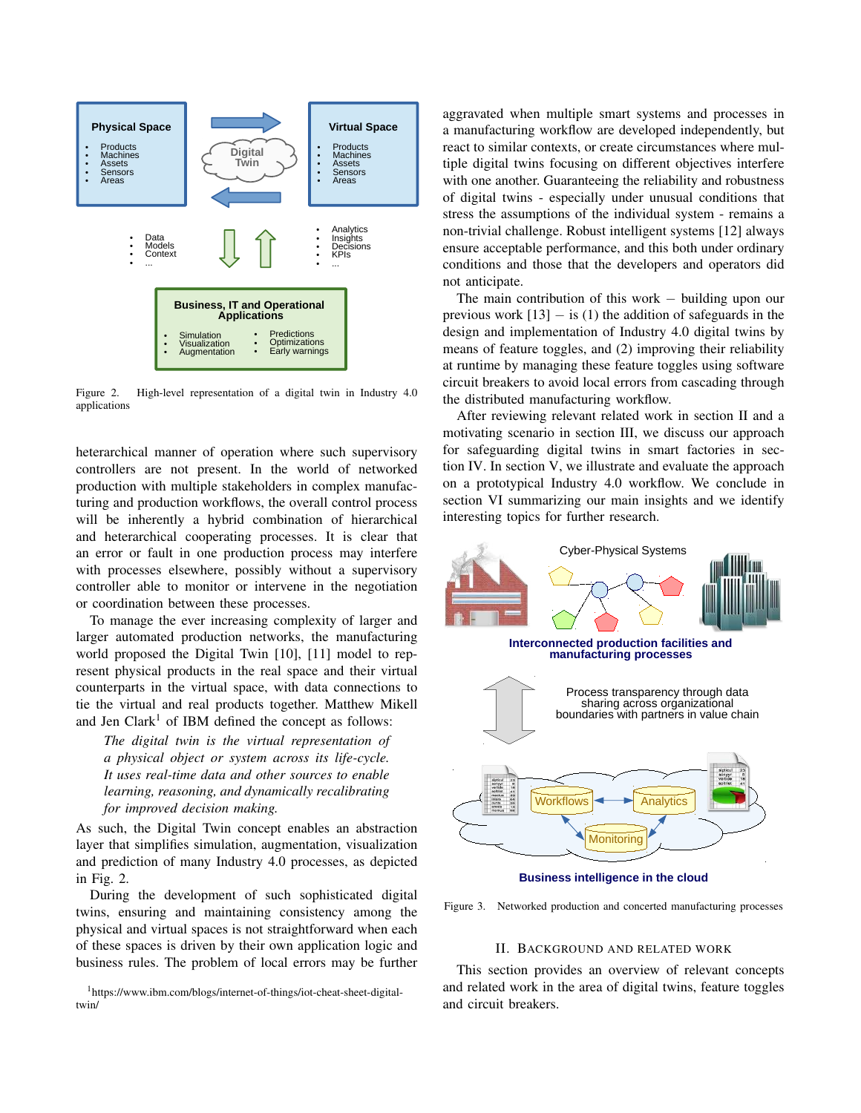

Figure 2. High-level representation of a digital twin in Industry 4.0 applications

heterarchical manner of operation where such supervisory controllers are not present. In the world of networked production with multiple stakeholders in complex manufacturing and production workflows, the overall control process will be inherently a hybrid combination of hierarchical and heterarchical cooperating processes. It is clear that an error or fault in one production process may interfere with processes elsewhere, possibly without a supervisory controller able to monitor or intervene in the negotiation or coordination between these processes.

To manage the ever increasing complexity of larger and larger automated production networks, the manufacturing world proposed the Digital Twin [10], [11] model to represent physical products in the real space and their virtual counterparts in the virtual space, with data connections to tie the virtual and real products together. Matthew Mikell and Jen Clark<sup>1</sup> of IBM defined the concept as follows:

*The digital twin is the virtual representation of a physical object or system across its life-cycle. It uses real-time data and other sources to enable learning, reasoning, and dynamically recalibrating for improved decision making.*

As such, the Digital Twin concept enables an abstraction layer that simplifies simulation, augmentation, visualization and prediction of many Industry 4.0 processes, as depicted in Fig. 2.

During the development of such sophisticated digital twins, ensuring and maintaining consistency among the physical and virtual spaces is not straightforward when each of these spaces is driven by their own application logic and business rules. The problem of local errors may be further

<sup>1</sup>https://www.ibm.com/blogs/internet-of-things/iot-cheat-sheet-digitaltwin/

aggravated when multiple smart systems and processes in a manufacturing workflow are developed independently, but react to similar contexts, or create circumstances where multiple digital twins focusing on different objectives interfere with one another. Guaranteeing the reliability and robustness of digital twins - especially under unusual conditions that stress the assumptions of the individual system - remains a non-trivial challenge. Robust intelligent systems [12] always ensure acceptable performance, and this both under ordinary conditions and those that the developers and operators did not anticipate.

The main contribution of this work  $-$  building upon our previous work  $[13] -$  is (1) the addition of safeguards in the design and implementation of Industry 4.0 digital twins by means of feature toggles, and (2) improving their reliability at runtime by managing these feature toggles using software circuit breakers to avoid local errors from cascading through the distributed manufacturing workflow.

After reviewing relevant related work in section II and a motivating scenario in section III, we discuss our approach for safeguarding digital twins in smart factories in section IV. In section V, we illustrate and evaluate the approach on a prototypical Industry 4.0 workflow. We conclude in section VI summarizing our main insights and we identify interesting topics for further research.



**Business intelligence in the cloud**

Figure 3. Networked production and concerted manufacturing processes

### II. BACKGROUND AND RELATED WORK

This section provides an overview of relevant concepts and related work in the area of digital twins, feature toggles and circuit breakers.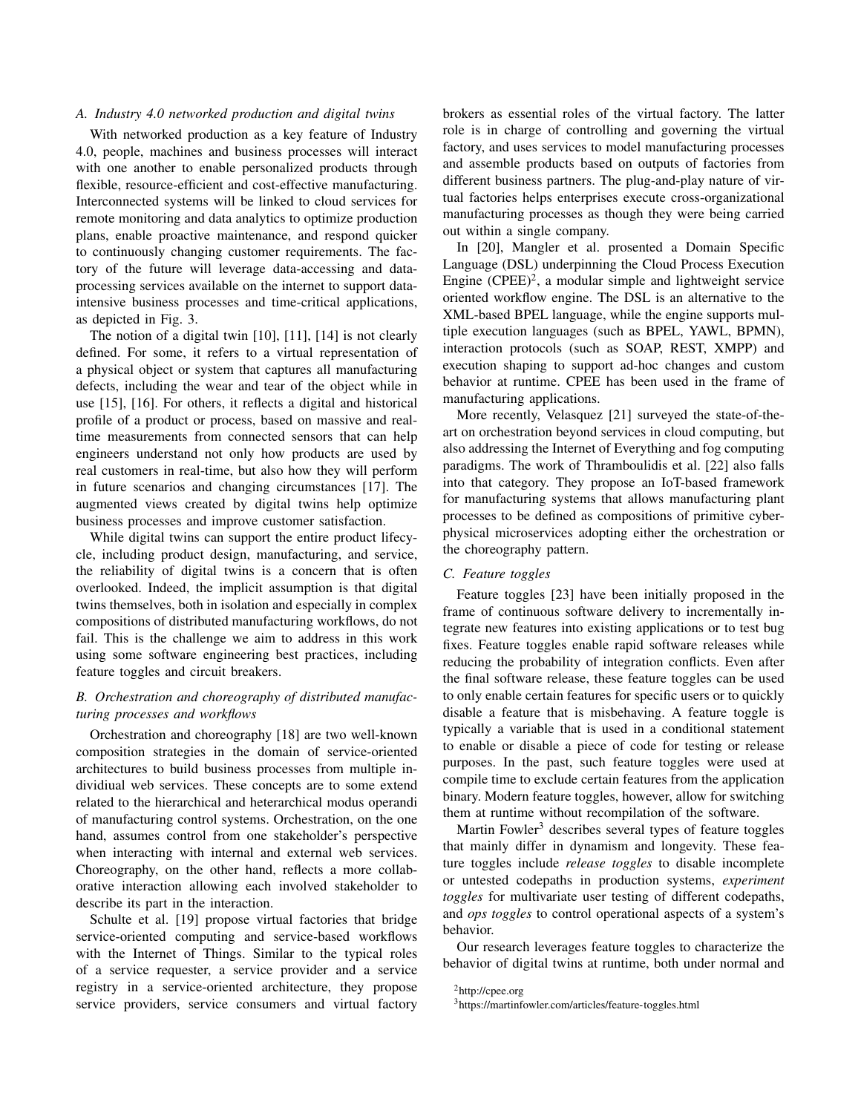# *A. Industry 4.0 networked production and digital twins*

With networked production as a key feature of Industry 4.0, people, machines and business processes will interact with one another to enable personalized products through flexible, resource-efficient and cost-effective manufacturing. Interconnected systems will be linked to cloud services for remote monitoring and data analytics to optimize production plans, enable proactive maintenance, and respond quicker to continuously changing customer requirements. The factory of the future will leverage data-accessing and dataprocessing services available on the internet to support dataintensive business processes and time-critical applications, as depicted in Fig. 3.

The notion of a digital twin [10], [11], [14] is not clearly defined. For some, it refers to a virtual representation of a physical object or system that captures all manufacturing defects, including the wear and tear of the object while in use [15], [16]. For others, it reflects a digital and historical profile of a product or process, based on massive and realtime measurements from connected sensors that can help engineers understand not only how products are used by real customers in real-time, but also how they will perform in future scenarios and changing circumstances [17]. The augmented views created by digital twins help optimize business processes and improve customer satisfaction.

While digital twins can support the entire product lifecycle, including product design, manufacturing, and service, the reliability of digital twins is a concern that is often overlooked. Indeed, the implicit assumption is that digital twins themselves, both in isolation and especially in complex compositions of distributed manufacturing workflows, do not fail. This is the challenge we aim to address in this work using some software engineering best practices, including feature toggles and circuit breakers.

# *B. Orchestration and choreography of distributed manufacturing processes and workflows*

Orchestration and choreography [18] are two well-known composition strategies in the domain of service-oriented architectures to build business processes from multiple individiual web services. These concepts are to some extend related to the hierarchical and heterarchical modus operandi of manufacturing control systems. Orchestration, on the one hand, assumes control from one stakeholder's perspective when interacting with internal and external web services. Choreography, on the other hand, reflects a more collaborative interaction allowing each involved stakeholder to describe its part in the interaction.

Schulte et al. [19] propose virtual factories that bridge service-oriented computing and service-based workflows with the Internet of Things. Similar to the typical roles of a service requester, a service provider and a service registry in a service-oriented architecture, they propose service providers, service consumers and virtual factory brokers as essential roles of the virtual factory. The latter role is in charge of controlling and governing the virtual factory, and uses services to model manufacturing processes and assemble products based on outputs of factories from different business partners. The plug-and-play nature of virtual factories helps enterprises execute cross-organizational manufacturing processes as though they were being carried out within a single company.

In [20], Mangler et al. prosented a Domain Specific Language (DSL) underpinning the Cloud Process Execution Engine  $(CPEE)^2$ , a modular simple and lightweight service oriented workflow engine. The DSL is an alternative to the XML-based BPEL language, while the engine supports multiple execution languages (such as BPEL, YAWL, BPMN), interaction protocols (such as SOAP, REST, XMPP) and execution shaping to support ad-hoc changes and custom behavior at runtime. CPEE has been used in the frame of manufacturing applications.

More recently, Velasquez [21] surveyed the state-of-theart on orchestration beyond services in cloud computing, but also addressing the Internet of Everything and fog computing paradigms. The work of Thramboulidis et al. [22] also falls into that category. They propose an IoT-based framework for manufacturing systems that allows manufacturing plant processes to be defined as compositions of primitive cyberphysical microservices adopting either the orchestration or the choreography pattern.

## *C. Feature toggles*

Feature toggles [23] have been initially proposed in the frame of continuous software delivery to incrementally integrate new features into existing applications or to test bug fixes. Feature toggles enable rapid software releases while reducing the probability of integration conflicts. Even after the final software release, these feature toggles can be used to only enable certain features for specific users or to quickly disable a feature that is misbehaving. A feature toggle is typically a variable that is used in a conditional statement to enable or disable a piece of code for testing or release purposes. In the past, such feature toggles were used at compile time to exclude certain features from the application binary. Modern feature toggles, however, allow for switching them at runtime without recompilation of the software.

Martin Fowler<sup>3</sup> describes several types of feature toggles that mainly differ in dynamism and longevity. These feature toggles include *release toggles* to disable incomplete or untested codepaths in production systems, *experiment toggles* for multivariate user testing of different codepaths, and *ops toggles* to control operational aspects of a system's behavior.

Our research leverages feature toggles to characterize the behavior of digital twins at runtime, both under normal and

<sup>2</sup>http://cpee.org

<sup>3</sup>https://martinfowler.com/articles/feature-toggles.html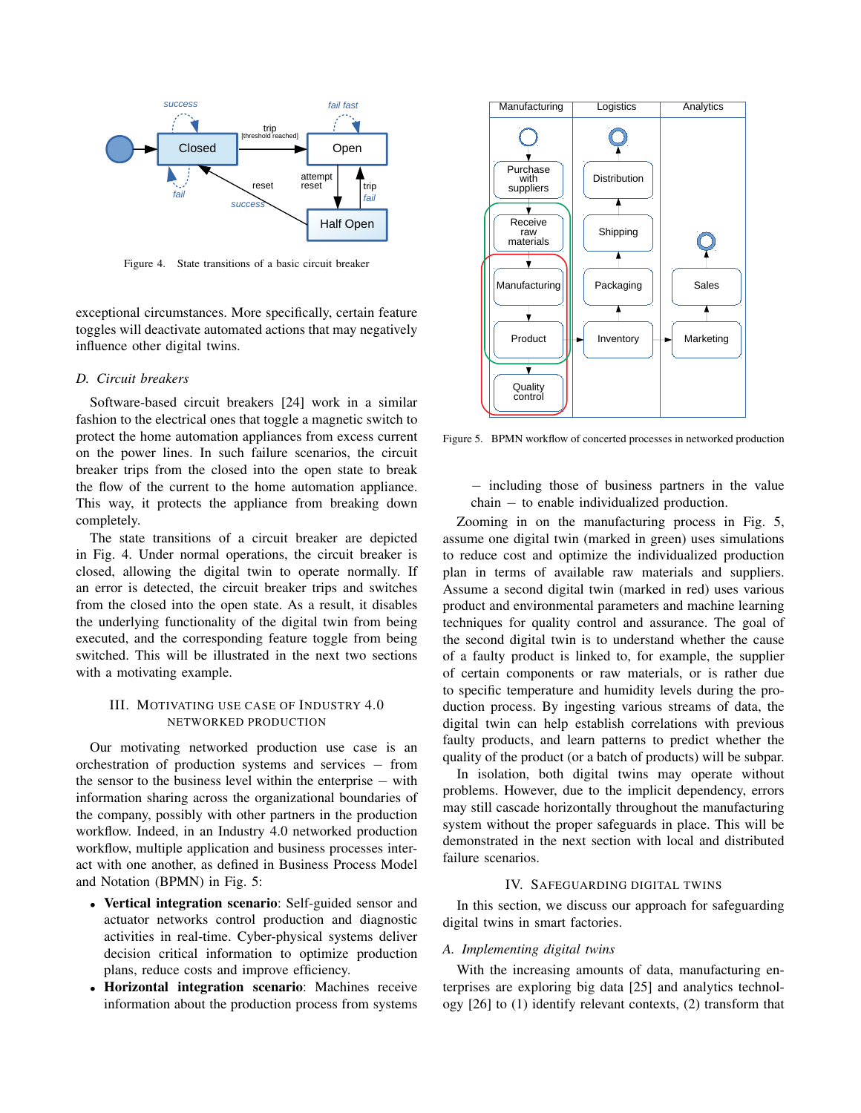

Figure 4. State transitions of a basic circuit breaker

exceptional circumstances. More specifically, certain feature toggles will deactivate automated actions that may negatively influence other digital twins.

### *D. Circuit breakers*

Software-based circuit breakers [24] work in a similar fashion to the electrical ones that toggle a magnetic switch to protect the home automation appliances from excess current on the power lines. In such failure scenarios, the circuit breaker trips from the closed into the open state to break the flow of the current to the home automation appliance. This way, it protects the appliance from breaking down completely.

The state transitions of a circuit breaker are depicted in Fig. 4. Under normal operations, the circuit breaker is closed, allowing the digital twin to operate normally. If an error is detected, the circuit breaker trips and switches from the closed into the open state. As a result, it disables the underlying functionality of the digital twin from being executed, and the corresponding feature toggle from being switched. This will be illustrated in the next two sections with a motivating example.

# III. MOTIVATING USE CASE OF INDUSTRY 4.0 NETWORKED PRODUCTION

Our motivating networked production use case is an orchestration of production systems and services − from the sensor to the business level within the enterprise − with information sharing across the organizational boundaries of the company, possibly with other partners in the production workflow. Indeed, in an Industry 4.0 networked production workflow, multiple application and business processes interact with one another, as defined in Business Process Model and Notation (BPMN) in Fig. 5:

- Vertical integration scenario: Self-guided sensor and actuator networks control production and diagnostic activities in real-time. Cyber-physical systems deliver decision critical information to optimize production plans, reduce costs and improve efficiency.
- Horizontal integration scenario: Machines receive information about the production process from systems



Figure 5. BPMN workflow of concerted processes in networked production

− including those of business partners in the value chain − to enable individualized production.

Zooming in on the manufacturing process in Fig. 5, assume one digital twin (marked in green) uses simulations to reduce cost and optimize the individualized production plan in terms of available raw materials and suppliers. Assume a second digital twin (marked in red) uses various product and environmental parameters and machine learning techniques for quality control and assurance. The goal of the second digital twin is to understand whether the cause of a faulty product is linked to, for example, the supplier of certain components or raw materials, or is rather due to specific temperature and humidity levels during the production process. By ingesting various streams of data, the digital twin can help establish correlations with previous faulty products, and learn patterns to predict whether the quality of the product (or a batch of products) will be subpar.

In isolation, both digital twins may operate without problems. However, due to the implicit dependency, errors may still cascade horizontally throughout the manufacturing system without the proper safeguards in place. This will be demonstrated in the next section with local and distributed failure scenarios.

### IV. SAFEGUARDING DIGITAL TWINS

In this section, we discuss our approach for safeguarding digital twins in smart factories.

#### *A. Implementing digital twins*

With the increasing amounts of data, manufacturing enterprises are exploring big data [25] and analytics technology [26] to (1) identify relevant contexts, (2) transform that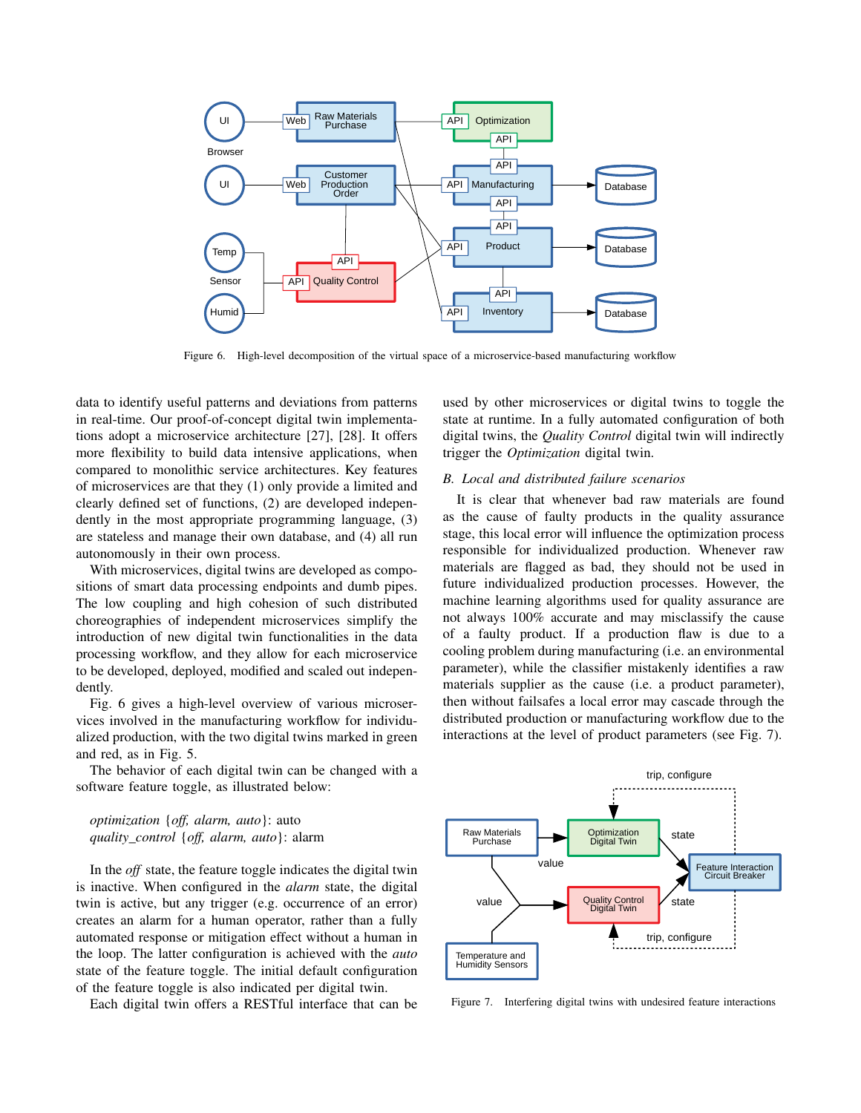

Figure 6. High-level decomposition of the virtual space of a microservice-based manufacturing workflow

data to identify useful patterns and deviations from patterns in real-time. Our proof-of-concept digital twin implementations adopt a microservice architecture [27], [28]. It offers more flexibility to build data intensive applications, when compared to monolithic service architectures. Key features of microservices are that they (1) only provide a limited and clearly defined set of functions, (2) are developed independently in the most appropriate programming language, (3) are stateless and manage their own database, and (4) all run autonomously in their own process.

With microservices, digital twins are developed as compositions of smart data processing endpoints and dumb pipes. The low coupling and high cohesion of such distributed choreographies of independent microservices simplify the introduction of new digital twin functionalities in the data processing workflow, and they allow for each microservice to be developed, deployed, modified and scaled out independently.

Fig. 6 gives a high-level overview of various microservices involved in the manufacturing workflow for individualized production, with the two digital twins marked in green and red, as in Fig. 5.

The behavior of each digital twin can be changed with a software feature toggle, as illustrated below:

# *optimization* {*off, alarm, auto*}: auto *quality\_control* {*off, alarm, auto*}: alarm

In the *off* state, the feature toggle indicates the digital twin is inactive. When configured in the *alarm* state, the digital twin is active, but any trigger (e.g. occurrence of an error) creates an alarm for a human operator, rather than a fully automated response or mitigation effect without a human in the loop. The latter configuration is achieved with the *auto* state of the feature toggle. The initial default configuration of the feature toggle is also indicated per digital twin.

Each digital twin offers a RESTful interface that can be

used by other microservices or digital twins to toggle the state at runtime. In a fully automated configuration of both digital twins, the *Quality Control* digital twin will indirectly trigger the *Optimization* digital twin.

### *B. Local and distributed failure scenarios*

It is clear that whenever bad raw materials are found as the cause of faulty products in the quality assurance stage, this local error will influence the optimization process responsible for individualized production. Whenever raw materials are flagged as bad, they should not be used in future individualized production processes. However, the machine learning algorithms used for quality assurance are not always 100% accurate and may misclassify the cause of a faulty product. If a production flaw is due to a cooling problem during manufacturing (i.e. an environmental parameter), while the classifier mistakenly identifies a raw materials supplier as the cause (i.e. a product parameter), then without failsafes a local error may cascade through the distributed production or manufacturing workflow due to the interactions at the level of product parameters (see Fig. 7).



Figure 7. Interfering digital twins with undesired feature interactions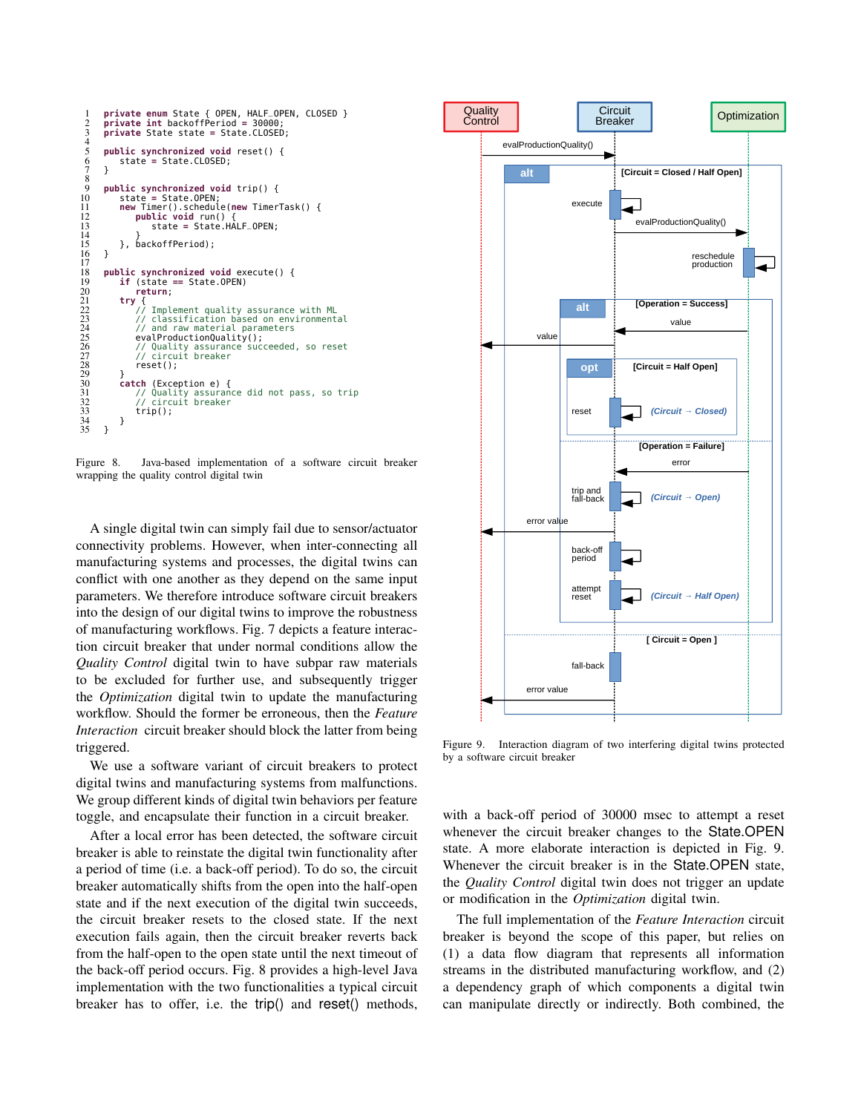```
1 private enum State { OPEN, HALF_OPEN, CLOSED }
2 private int backoffPeriod = 30000;
 3 private State state = State.CLOSED;
 \frac{4}{5}5 public synchronized void reset() {
             6 state = State.CLOSED;
        7 }
 \frac{8}{9}9 public synchronized void trip() {
10 state<sup>'</sup> = State.OPEN;<br>11 new Timer().schedul
11 new Timer().schedule(new TimerTask() {<br>12 public yoid run() {
                  public void run()
                       13 state = State.HALF_OPEN;
\frac{13}{14}<br>\frac{14}{15}15 }, backoffPeriod);
16 }
17
18 public synchronized void execute() {
19 if (state == State.OPEN)<br>
20 return;<br>
22 // Implement quality<br>
23 // classification bas
                  return;21 try {
                   // Implement quality assurance with ML<br>// classification based on environment
23 // classification based on environmental<br>24 // classification based on environmental<br>25 evalProductionQuality();<br>26 // Quality assurance succeeded, so reset<br>28 // clariut breaker<br>28 reset();
24 // and raw material parameters
25 evalProductionQuality();
26 // Quality assurance succeeded, so reset
27 // circuit breaker
                  reset():
\frac{29}{30}30 catch (Exception e) {
31 // Quality assurance did not pass, so trip
32 // circuit breaker
            \frac{1}{3} trip();
\frac{32}{33}<br>\frac{33}{35}\mathcal{E}
```
Figure 8. Java-based implementation of a software circuit breaker wrapping the quality control digital twin

A single digital twin can simply fail due to sensor/actuator connectivity problems. However, when inter-connecting all manufacturing systems and processes, the digital twins can conflict with one another as they depend on the same input parameters. We therefore introduce software circuit breakers into the design of our digital twins to improve the robustness of manufacturing workflows. Fig. 7 depicts a feature interaction circuit breaker that under normal conditions allow the *Quality Control* digital twin to have subpar raw materials to be excluded for further use, and subsequently trigger the *Optimization* digital twin to update the manufacturing workflow. Should the former be erroneous, then the *Feature Interaction* circuit breaker should block the latter from being triggered.

We use a software variant of circuit breakers to protect digital twins and manufacturing systems from malfunctions. We group different kinds of digital twin behaviors per feature toggle, and encapsulate their function in a circuit breaker.

After a local error has been detected, the software circuit breaker is able to reinstate the digital twin functionality after a period of time (i.e. a back-off period). To do so, the circuit breaker automatically shifts from the open into the half-open state and if the next execution of the digital twin succeeds, the circuit breaker resets to the closed state. If the next execution fails again, then the circuit breaker reverts back from the half-open to the open state until the next timeout of the back-off period occurs. Fig. 8 provides a high-level Java implementation with the two functionalities a typical circuit breaker has to offer, i.e. the trip() and reset() methods,



Figure 9. Interaction diagram of two interfering digital twins protected by a software circuit breaker

with a back-off period of 30000 msec to attempt a reset whenever the circuit breaker changes to the State.OPEN state. A more elaborate interaction is depicted in Fig. 9. Whenever the circuit breaker is in the State.OPEN state, the *Quality Control* digital twin does not trigger an update or modification in the *Optimization* digital twin.

The full implementation of the *Feature Interaction* circuit breaker is beyond the scope of this paper, but relies on (1) a data flow diagram that represents all information streams in the distributed manufacturing workflow, and (2) a dependency graph of which components a digital twin can manipulate directly or indirectly. Both combined, the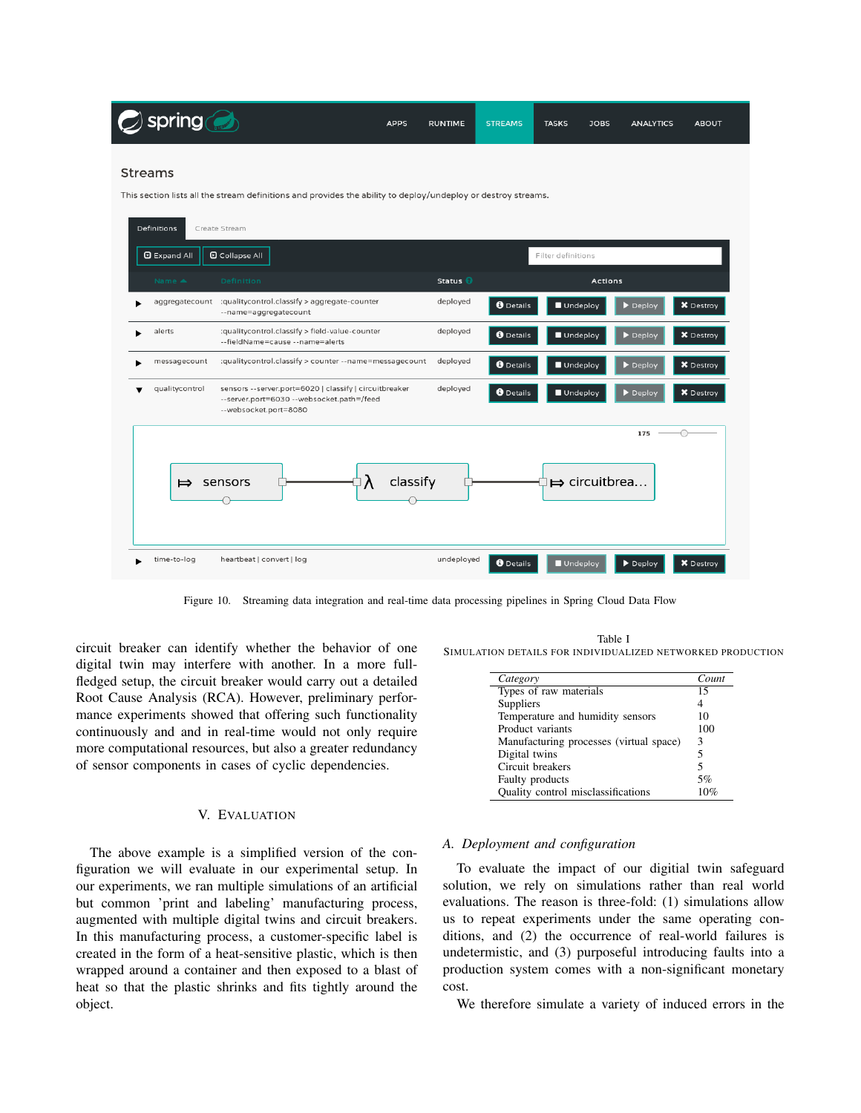| spring                                                                                                                          |                                                                                                                              | <b>APPS</b> | <b>RUNTIME</b>                  | <b>STREAMS</b>   | <b>TASKS</b>       | <b>JOBS</b>    | <b>ANALYTICS</b>             | <b>ABOUT</b>     |  |
|---------------------------------------------------------------------------------------------------------------------------------|------------------------------------------------------------------------------------------------------------------------------|-------------|---------------------------------|------------------|--------------------|----------------|------------------------------|------------------|--|
| <b>Streams</b><br>This section lists all the stream definitions and provides the ability to deploy/undeploy or destroy streams. |                                                                                                                              |             |                                 |                  |                    |                |                              |                  |  |
| <b>Definitions</b><br><b>D</b> Expand All                                                                                       | Create Stream<br><b>D</b> Collapse All                                                                                       |             |                                 |                  | Filter definitions |                |                              |                  |  |
| Name $\triangle$<br>aggregatecount                                                                                              | <b>Definition</b><br>:qualitycontrol.classify > aggregate-counter<br>--name=aggregatecount                                   |             | Status <sup>O</sup><br>deployed | <b>O</b> Details | Undeploy           | <b>Actions</b> | $\blacktriangleright$ Deploy | <b>X</b> Destroy |  |
| alerts                                                                                                                          | :qualitycontrol.classify > field-value-counter<br>--fieldName=cause --name=alerts                                            |             | deployed                        | <b>O</b> Details | Undeploy           |                | Deploy                       | <b>X</b> Destroy |  |
| messagecount                                                                                                                    | :qualitycontrol.classify > counter --name=messagecount                                                                       |             | deployed                        | <b>O</b> Details | Undeploy           |                | Deploy                       | <b>X</b> Destroy |  |
| qualitycontrol                                                                                                                  | sensors --server.port=6020   classify   circuitbreaker<br>--server.port=6030 --websocket.path=/feed<br>--websocket.port=8080 |             | deployed                        | <b>O</b> Details | Undeploy           |                | Deploy                       | <b>X</b> Destroy |  |
|                                                                                                                                 |                                                                                                                              |             |                                 |                  |                    |                | 175                          |                  |  |
| λ<br>classify<br>$\mapsto$ circuitbrea<br>sensors<br>⇨                                                                          |                                                                                                                              |             |                                 |                  |                    |                |                              |                  |  |
| time-to-log                                                                                                                     | heartbeat   convert   log                                                                                                    |             | undeployed                      | <b>O</b> Details | Undeploy           |                | $\blacktriangleright$ Deploy | X Destroy        |  |

Figure 10. Streaming data integration and real-time data processing pipelines in Spring Cloud Data Flow

circuit breaker can identify whether the behavior of one digital twin may interfere with another. In a more fullfledged setup, the circuit breaker would carry out a detailed Root Cause Analysis (RCA). However, preliminary performance experiments showed that offering such functionality continuously and and in real-time would not only require more computational resources, but also a greater redundancy of sensor components in cases of cyclic dependencies.

## V. EVALUATION

The above example is a simplified version of the configuration we will evaluate in our experimental setup. In our experiments, we ran multiple simulations of an artificial but common 'print and labeling' manufacturing process, augmented with multiple digital twins and circuit breakers. In this manufacturing process, a customer-specific label is created in the form of a heat-sensitive plastic, which is then wrapped around a container and then exposed to a blast of heat so that the plastic shrinks and fits tightly around the object.

Table I SIMULATION DETAILS FOR INDIVIDUALIZED NETWORKED PRODUCTION

| Category                                  | Count |
|-------------------------------------------|-------|
| Types of raw materials                    | 15    |
| Suppliers                                 | 4     |
| Temperature and humidity sensors          | 10    |
| Product variants                          | 100   |
| Manufacturing processes (virtual space)   | 3     |
| Digital twins                             |       |
| Circuit breakers                          |       |
| Faulty products                           | 5%    |
| <b>Ouality</b> control misclassifications |       |

#### *A. Deployment and configuration*

To evaluate the impact of our digitial twin safeguard solution, we rely on simulations rather than real world evaluations. The reason is three-fold: (1) simulations allow us to repeat experiments under the same operating conditions, and (2) the occurrence of real-world failures is undetermistic, and (3) purposeful introducing faults into a production system comes with a non-significant monetary cost.

We therefore simulate a variety of induced errors in the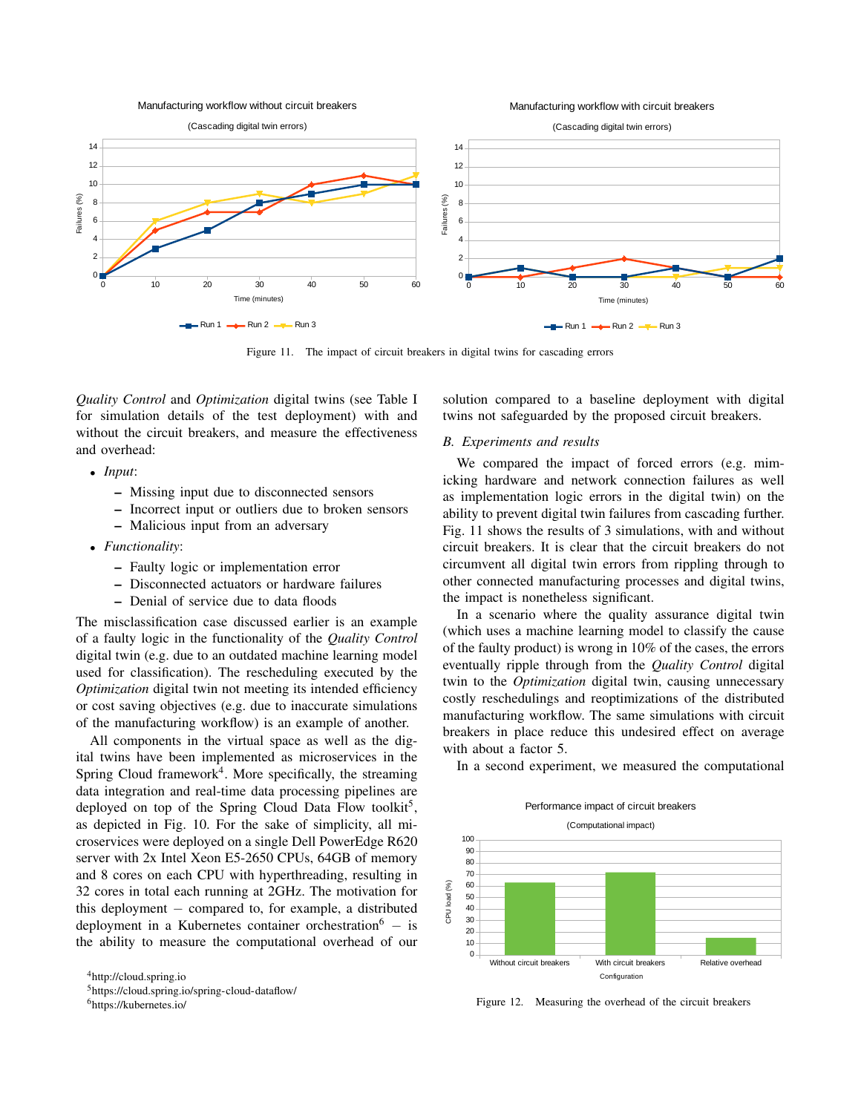Manufacturing workflow without circuit breakers

Manufacturing workflow with circuit breakers



Figure 11. The impact of circuit breakers in digital twins for cascading errors

*Quality Control* and *Optimization* digital twins (see Table I for simulation details of the test deployment) with and without the circuit breakers, and measure the effectiveness and overhead:

- *Input*:
	- Missing input due to disconnected sensors
	- Incorrect input or outliers due to broken sensors
	- Malicious input from an adversary
- *Functionality*:
	- Faulty logic or implementation error
	- Disconnected actuators or hardware failures
	- Denial of service due to data floods

The misclassification case discussed earlier is an example of a faulty logic in the functionality of the *Quality Control* digital twin (e.g. due to an outdated machine learning model used for classification). The rescheduling executed by the *Optimization* digital twin not meeting its intended efficiency or cost saving objectives (e.g. due to inaccurate simulations of the manufacturing workflow) is an example of another.

All components in the virtual space as well as the digital twins have been implemented as microservices in the Spring Cloud framework<sup>4</sup>. More specifically, the streaming data integration and real-time data processing pipelines are deployed on top of the Spring Cloud Data Flow toolkit<sup>5</sup>, as depicted in Fig. 10. For the sake of simplicity, all microservices were deployed on a single Dell PowerEdge R620 server with 2x Intel Xeon E5-2650 CPUs, 64GB of memory and 8 cores on each CPU with hyperthreading, resulting in 32 cores in total each running at 2GHz. The motivation for this deployment  $-$  compared to, for example, a distributed deployment in a Kubernetes container orchestration $6 - i$ s the ability to measure the computational overhead of our solution compared to a baseline deployment with digital twins not safeguarded by the proposed circuit breakers.

### *B. Experiments and results*

We compared the impact of forced errors (e.g. mimicking hardware and network connection failures as well as implementation logic errors in the digital twin) on the ability to prevent digital twin failures from cascading further. Fig. 11 shows the results of 3 simulations, with and without circuit breakers. It is clear that the circuit breakers do not circumvent all digital twin errors from rippling through to other connected manufacturing processes and digital twins, the impact is nonetheless significant.

In a scenario where the quality assurance digital twin (which uses a machine learning model to classify the cause of the faulty product) is wrong in 10% of the cases, the errors eventually ripple through from the *Quality Control* digital twin to the *Optimization* digital twin, causing unnecessary costly reschedulings and reoptimizations of the distributed manufacturing workflow. The same simulations with circuit breakers in place reduce this undesired effect on average with about a factor 5.

In a second experiment, we measured the computational

Performance impact of circuit breakers



Figure 12. Measuring the overhead of the circuit breakers

<sup>4</sup>http://cloud.spring.io

<sup>5</sup>https://cloud.spring.io/spring-cloud-dataflow/

<sup>6</sup>https://kubernetes.io/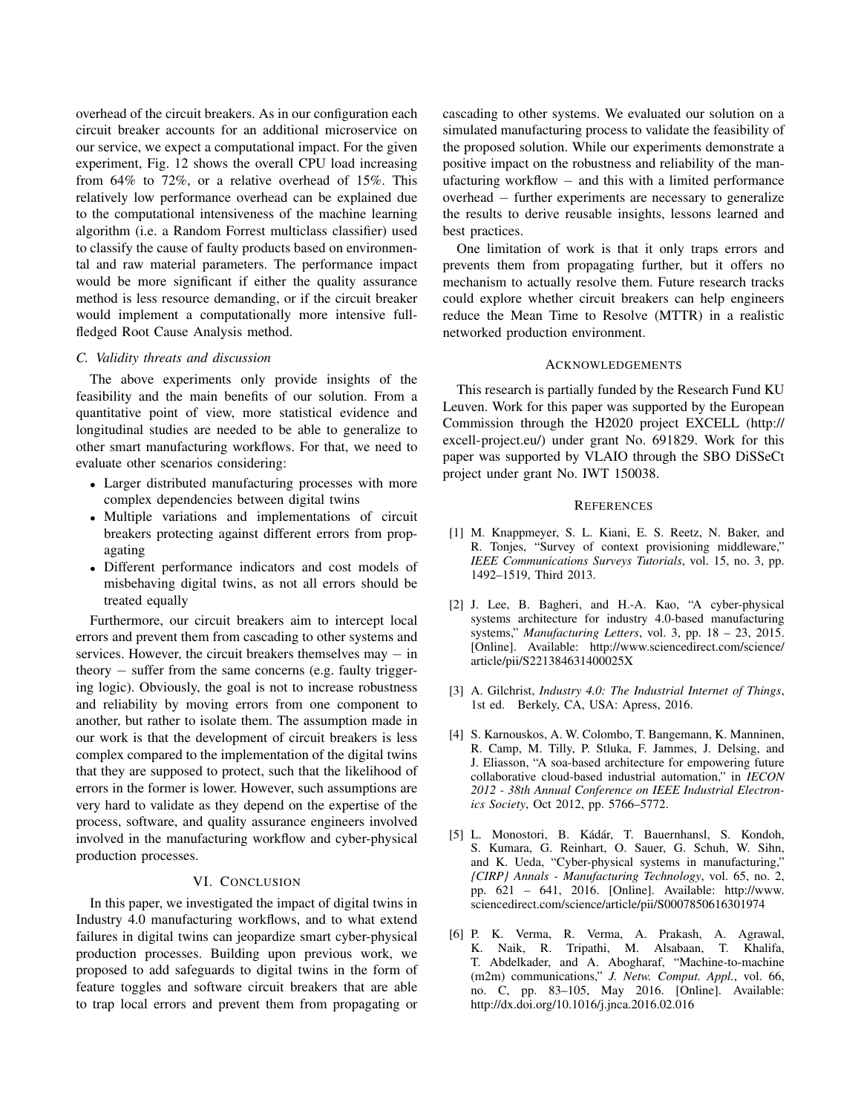overhead of the circuit breakers. As in our configuration each circuit breaker accounts for an additional microservice on our service, we expect a computational impact. For the given experiment, Fig. 12 shows the overall CPU load increasing from 64% to 72%, or a relative overhead of 15%. This relatively low performance overhead can be explained due to the computational intensiveness of the machine learning algorithm (i.e. a Random Forrest multiclass classifier) used to classify the cause of faulty products based on environmental and raw material parameters. The performance impact would be more significant if either the quality assurance method is less resource demanding, or if the circuit breaker would implement a computationally more intensive fullfledged Root Cause Analysis method.

#### *C. Validity threats and discussion*

The above experiments only provide insights of the feasibility and the main benefits of our solution. From a quantitative point of view, more statistical evidence and longitudinal studies are needed to be able to generalize to other smart manufacturing workflows. For that, we need to evaluate other scenarios considering:

- Larger distributed manufacturing processes with more complex dependencies between digital twins
- Multiple variations and implementations of circuit breakers protecting against different errors from propagating
- Different performance indicators and cost models of misbehaving digital twins, as not all errors should be treated equally

Furthermore, our circuit breakers aim to intercept local errors and prevent them from cascading to other systems and services. However, the circuit breakers themselves may  $-$  in theory − suffer from the same concerns (e.g. faulty triggering logic). Obviously, the goal is not to increase robustness and reliability by moving errors from one component to another, but rather to isolate them. The assumption made in our work is that the development of circuit breakers is less complex compared to the implementation of the digital twins that they are supposed to protect, such that the likelihood of errors in the former is lower. However, such assumptions are very hard to validate as they depend on the expertise of the process, software, and quality assurance engineers involved involved in the manufacturing workflow and cyber-physical production processes.

# VI. CONCLUSION

In this paper, we investigated the impact of digital twins in Industry 4.0 manufacturing workflows, and to what extend failures in digital twins can jeopardize smart cyber-physical production processes. Building upon previous work, we proposed to add safeguards to digital twins in the form of feature toggles and software circuit breakers that are able to trap local errors and prevent them from propagating or cascading to other systems. We evaluated our solution on a simulated manufacturing process to validate the feasibility of the proposed solution. While our experiments demonstrate a positive impact on the robustness and reliability of the manufacturing workflow  $-$  and this with a limited performance overhead – further experiments are necessary to generalize the results to derive reusable insights, lessons learned and best practices.

One limitation of work is that it only traps errors and prevents them from propagating further, but it offers no mechanism to actually resolve them. Future research tracks could explore whether circuit breakers can help engineers reduce the Mean Time to Resolve (MTTR) in a realistic networked production environment.

### ACKNOWLEDGEMENTS

This research is partially funded by the Research Fund KU Leuven. Work for this paper was supported by the European Commission through the H2020 project EXCELL (http:// excell-project.eu/) under grant No. 691829. Work for this paper was supported by VLAIO through the SBO DiSSeCt project under grant No. IWT 150038.

#### **REFERENCES**

- [1] M. Knappmeyer, S. L. Kiani, E. S. Reetz, N. Baker, and R. Tonjes, "Survey of context provisioning middleware," *IEEE Communications Surveys Tutorials*, vol. 15, no. 3, pp. 1492–1519, Third 2013.
- [2] J. Lee, B. Bagheri, and H.-A. Kao, "A cyber-physical systems architecture for industry 4.0-based manufacturing systems," *Manufacturing Letters*, vol. 3, pp. 18 – 23, 2015. [Online]. Available: http://www.sciencedirect.com/science/ article/pii/S221384631400025X
- [3] A. Gilchrist, *Industry 4.0: The Industrial Internet of Things*, 1st ed. Berkely, CA, USA: Apress, 2016.
- [4] S. Karnouskos, A. W. Colombo, T. Bangemann, K. Manninen, R. Camp, M. Tilly, P. Stluka, F. Jammes, J. Delsing, and J. Eliasson, "A soa-based architecture for empowering future collaborative cloud-based industrial automation," in *IECON 2012 - 38th Annual Conference on IEEE Industrial Electronics Society*, Oct 2012, pp. 5766–5772.
- [5] L. Monostori, B. Kádár, T. Bauernhansl, S. Kondoh, S. Kumara, G. Reinhart, O. Sauer, G. Schuh, W. Sihn, and K. Ueda, "Cyber-physical systems in manufacturing," *{CIRP} Annals - Manufacturing Technology*, vol. 65, no. 2, pp. 621 – 641, 2016. [Online]. Available: http://www. sciencedirect.com/science/article/pii/S0007850616301974
- [6] P. K. Verma, R. Verma, A. Prakash, A. Agrawal, K. Naik, R. Tripathi, M. Alsabaan, T. Khalifa, T. Abdelkader, and A. Abogharaf, "Machine-to-machine (m2m) communications," *J. Netw. Comput. Appl.*, vol. 66, no. C, pp. 83–105, May 2016. [Online]. Available: http://dx.doi.org/10.1016/j.jnca.2016.02.016